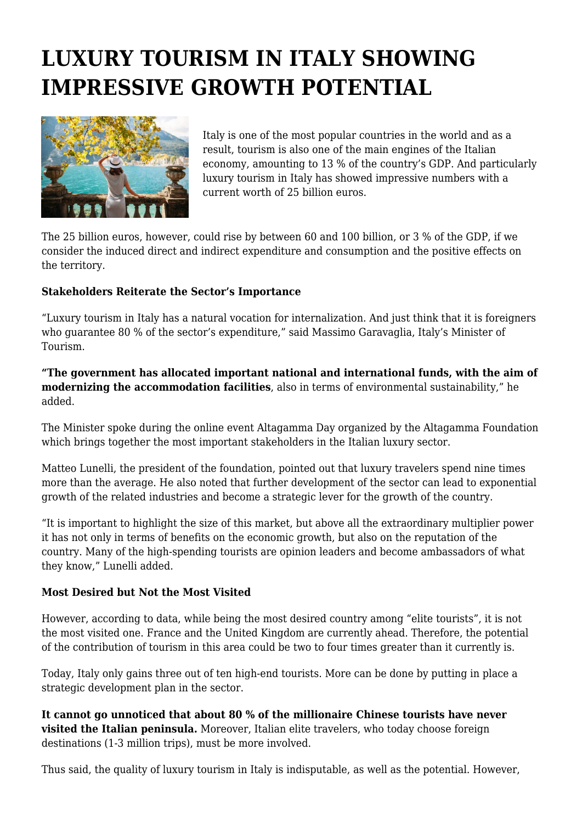## **LUXURY TOURISM IN ITALY SHOWING IMPRESSIVE GROWTH POTENTIAL**



Italy is one of the most popular countries in the world and as a result, tourism is also one of the main engines of the Italian economy, amounting to 13 % of the country's GDP. And particularly luxury tourism in Italy has showed impressive numbers with a current worth of 25 billion euros.

The 25 billion euros, however, could rise by between 60 and 100 billion, or 3 % of the GDP, if we consider the induced direct and indirect expenditure and consumption and the positive effects on the territory.

## **Stakeholders Reiterate the Sector's Importance**

"Luxury tourism in Italy has a natural vocation for internalization. And just think that it is foreigners who guarantee 80 % of the sector's expenditure," said Massimo Garavaglia, Italy's Minister of Tourism.

**"The government has allocated important national and international funds, with the aim of modernizing the accommodation facilities**, also in terms of environmental sustainability," he added.

The Minister spoke during the online event Altagamma Day organized by the Altagamma Foundation which brings together the most important stakeholders in the Italian luxury sector.

Matteo Lunelli, the president of the foundation, pointed out that luxury travelers spend nine times more than the average. He also noted that further development of the sector can lead to exponential growth of the related industries and become a strategic lever for the growth of the country.

"It is important to highlight the size of this market, but above all the extraordinary multiplier power it has not only in terms of benefits on the economic growth, but also on the reputation of the country. Many of the high-spending tourists are opinion leaders and become ambassadors of what they know," Lunelli added.

## **Most Desired but Not the Most Visited**

However, according to data, while being the most desired country among "elite tourists", it is not the most visited one. France and the United Kingdom are currently ahead. Therefore, the potential of the contribution of tourism in this area could be two to four times greater than it currently is.

Today, Italy only gains three out of ten high-end tourists. More can be done by putting in place a strategic development plan in the sector.

**It cannot go unnoticed that about 80 % of the millionaire Chinese tourists have never visited the Italian peninsula.** Moreover, Italian elite travelers, who today choose foreign destinations (1-3 million trips), must be more involved.

Thus said, the quality of luxury tourism in Italy is indisputable, as well as the potential. However,